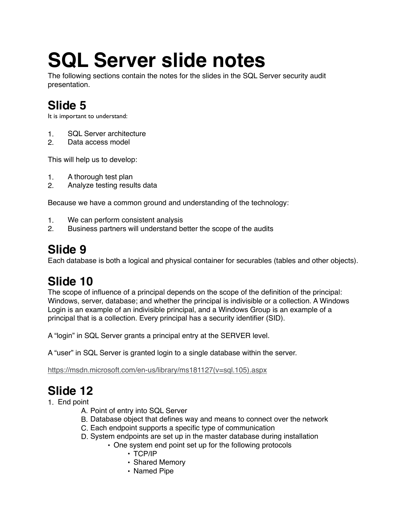# **SQL Server slide notes**

The following sections contain the notes for the slides in the SQL Server security audit presentation.

# **Slide 5**

It is important to understand:

- 1. SQL Server architecture
- 2. Data access model

This will help us to develop:

- 1. A thorough test plan
- 2. Analyze testing results data

Because we have a common ground and understanding of the technology:

- 1. We can perform consistent analysis
- 2. Business partners will understand better the scope of the audits

## **Slide 9**

Each database is both a logical and physical container for securables (tables and other objects).

# **Slide 10**

The scope of influence of a principal depends on the scope of the definition of the principal: Windows, server, database; and whether the principal is indivisible or a collection. A Windows Login is an example of an indivisible principal, and a Windows Group is an example of a principal that is a collection. Every principal has a security identifier (SID).

A "login" in SQL Server grants a principal entry at the SERVER level.

A "user" in SQL Server is granted login to a single database within the server.

[https://msdn.microsoft.com/en-us/library/ms181127\(v=sql.105\).aspx](https://msdn.microsoft.com/en-us/library/ms181127(v=sql.105).aspx)

# **Slide 12**

- 1. End point
	- A. Point of entry into SQL Server
	- B. Database object that defines way and means to connect over the network
	- C. Each endpoint supports a specific type of communication
	- D. System endpoints are set up in the master database during installation
		- One system end point set up for the following protocols
			- TCP/IP
			- Shared Memory
			- Named Pipe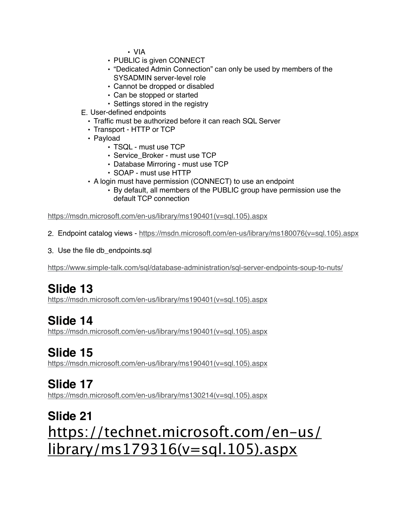• VIA

- PUBLIC is given CONNECT
- "Dedicated Admin Connection" can only be used by members of the SYSADMIN server-level role
- Cannot be dropped or disabled
- Can be stopped or started
- Settings stored in the registry
- E. User-defined endpoints
	- Traffic must be authorized before it can reach SQL Server
	- Transport HTTP or TCP
	- Payload
		- TSQL must use TCP
		- Service\_Broker must use TCP
		- Database Mirroring must use TCP
		- SOAP must use HTTP
	- A login must have permission (CONNECT) to use an endpoint
		- By default, all members of the PUBLIC group have permission use the default TCP connection

[https://msdn.microsoft.com/en-us/library/ms190401\(v=sql.105\).aspx](https://msdn.microsoft.com/en-us/library/ms190401(v=sql.105).aspx)

- 2. Endpoint catalog views - [https://msdn.microsoft.com/en-us/library/ms180076\(v=sql.105\).aspx](https://msdn.microsoft.com/en-us/library/ms180076(v=sql.105).aspx)
- 3. Use the file db\_endpoints.sql

<https://www.simple-talk.com/sql/database-administration/sql-server-endpoints-soup-to-nuts/>

# **Slide 13**

[https://msdn.microsoft.com/en-us/library/ms190401\(v=sql.105\).aspx](https://msdn.microsoft.com/en-us/library/ms190401(v=sql.105).aspx)

#### **Slide 14**

[https://msdn.microsoft.com/en-us/library/ms190401\(v=sql.105\).aspx](https://msdn.microsoft.com/en-us/library/ms190401(v=sql.105).aspx)

#### **Slide 15**

[https://msdn.microsoft.com/en-us/library/ms190401\(v=sql.105\).aspx](https://msdn.microsoft.com/en-us/library/ms190401(v=sql.105).aspx)

#### **Slide 17**

[https://msdn.microsoft.com/en-us/library/ms130214\(v=sql.105\).aspx](https://msdn.microsoft.com/en-us/library/ms130214(v=sql.105).aspx)

# **Slide 21** [https://technet.microsoft.com/en-us/](https://technet.microsoft.com/en-us/library/ms179316(v=sql.105).aspx) library/ms179316(v=sql.105).aspx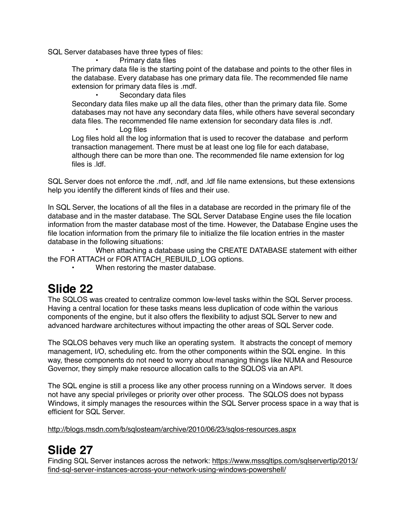SQL Server databases have three types of files:

• Primary data files

The primary data file is the starting point of the database and points to the other files in the database. Every database has one primary data file. The recommended file name extension for primary data files is .mdf.

Secondary data files

Secondary data files make up all the data files, other than the primary data file. Some databases may not have any secondary data files, while others have several secondary data files. The recommended file name extension for secondary data files is .ndf.

Log files

Log files hold all the log information that is used to recover the database and perform transaction management. There must be at least one log file for each database, although there can be more than one. The recommended file name extension for log files is .ldf.

SQL Server does not enforce the .mdf, .ndf, and .ldf file name extensions, but these extensions help you identify the different kinds of files and their use.

In SQL Server, the locations of all the files in a database are recorded in the primary file of the database and in the master database. The SQL Server Database Engine uses the file location information from the master database most of the time. However, the Database Engine uses the file location information from the primary file to initialize the file location entries in the master database in the following situations:

• When attaching a database using the CREATE DATABASE statement with either the FOR ATTACH or FOR ATTACH\_REBUILD\_LOG options.

When restoring the master database.

# **Slide 22**

The SQLOS was created to centralize common low-level tasks within the SQL Server process. Having a central location for these tasks means less duplication of code within the various components of the engine, but it also offers the flexibility to adjust SQL Server to new and advanced hardware architectures without impacting the other areas of SQL Server code.

The SQLOS behaves very much like an operating system. It abstracts the concept of memory management, I/O, scheduling etc. from the other components within the SQL engine. In this way, these components do not need to worry about managing things like NUMA and Resource Governor, they simply make resource allocation calls to the SQLOS via an API.

The SQL engine is still a process like any other process running on a Windows server. It does not have any special privileges or priority over other process. The SQLOS does not bypass Windows, it simply manages the resources within the SQL Server process space in a way that is efficient for SQL Server.

<http://blogs.msdn.com/b/sqlosteam/archive/2010/06/23/sqlos-resources.aspx>

# **Slide 27**

[Finding SQL Server instances across the network: https://www.mssqltips.com/sqlservertip/2013/](https://www.mssqltips.com/sqlservertip/2013/find-sql-server-instances-across-your-network-using-windows-powershell/) find-sql-server-instances-across-your-network-using-windows-powershell/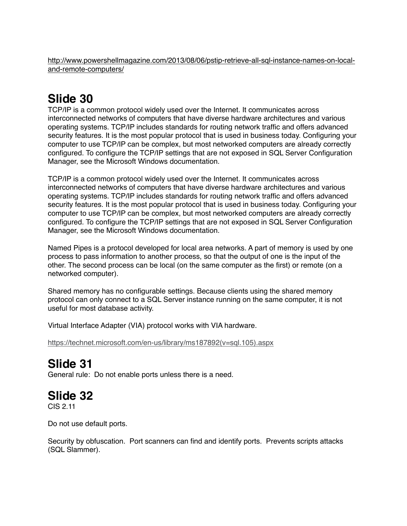[http://www.powershellmagazine.com/2013/08/06/pstip-retrieve-all-sql-instance-names-on-local](http://www.powershellmagazine.com/2013/08/06/pstip-retrieve-all-sql-instance-names-on-local-and-remote-computers/)and-remote-computers/

# **Slide 30**

TCP/IP is a common protocol widely used over the Internet. It communicates across interconnected networks of computers that have diverse hardware architectures and various operating systems. TCP/IP includes standards for routing network traffic and offers advanced security features. It is the most popular protocol that is used in business today. Configuring your computer to use TCP/IP can be complex, but most networked computers are already correctly configured. To configure the TCP/IP settings that are not exposed in SQL Server Configuration Manager, see the Microsoft Windows documentation.

TCP/IP is a common protocol widely used over the Internet. It communicates across interconnected networks of computers that have diverse hardware architectures and various operating systems. TCP/IP includes standards for routing network traffic and offers advanced security features. It is the most popular protocol that is used in business today. Configuring your computer to use TCP/IP can be complex, but most networked computers are already correctly configured. To configure the TCP/IP settings that are not exposed in SQL Server Configuration Manager, see the Microsoft Windows documentation.

Named Pipes is a protocol developed for local area networks. A part of memory is used by one process to pass information to another process, so that the output of one is the input of the other. The second process can be local (on the same computer as the first) or remote (on a networked computer).

Shared memory has no configurable settings. Because clients using the shared memory protocol can only connect to a SQL Server instance running on the same computer, it is not useful for most database activity.

Virtual Interface Adapter (VIA) protocol works with VIA hardware.

[https://technet.microsoft.com/en-us/library/ms187892\(v=sql.105\).aspx](https://technet.microsoft.com/en-us/library/ms187892(v=sql.105).aspx)

# **Slide 31**

General rule: Do not enable ports unless there is a need.

# **Slide 32**

CIS 2.11

Do not use default ports.

Security by obfuscation. Port scanners can find and identify ports. Prevents scripts attacks (SQL Slammer).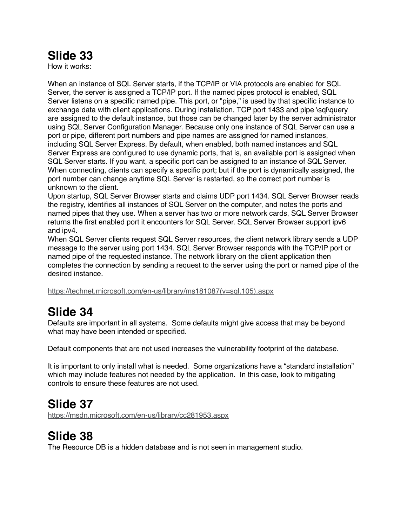How it works:

When an instance of SQL Server starts, if the TCP/IP or VIA protocols are enabled for SQL Server, the server is assigned a TCP/IP port. If the named pipes protocol is enabled, SQL Server listens on a specific named pipe. This port, or "pipe," is used by that specific instance to exchange data with client applications. During installation, TCP port 1433 and pipe \sql\query are assigned to the default instance, but those can be changed later by the server administrator using SQL Server Configuration Manager. Because only one instance of SQL Server can use a port or pipe, different port numbers and pipe names are assigned for named instances, including SQL Server Express. By default, when enabled, both named instances and SQL Server Express are configured to use dynamic ports, that is, an available port is assigned when SQL Server starts. If you want, a specific port can be assigned to an instance of SQL Server. When connecting, clients can specify a specific port; but if the port is dynamically assigned, the port number can change anytime SQL Server is restarted, so the correct port number is unknown to the client.

Upon startup, SQL Server Browser starts and claims UDP port 1434. SQL Server Browser reads the registry, identifies all instances of SQL Server on the computer, and notes the ports and named pipes that they use. When a server has two or more network cards, SQL Server Browser returns the first enabled port it encounters for SQL Server. SQL Server Browser support ipv6 and ipv4.

When SQL Server clients request SQL Server resources, the client network library sends a UDP message to the server using port 1434. SQL Server Browser responds with the TCP/IP port or named pipe of the requested instance. The network library on the client application then completes the connection by sending a request to the server using the port or named pipe of the desired instance.

[https://technet.microsoft.com/en-us/library/ms181087\(v=sql.105\).aspx](https://technet.microsoft.com/en-us/library/ms181087(v=sql.105).aspx)

# **Slide 34**

Defaults are important in all systems. Some defaults might give access that may be beyond what may have been intended or specified.

Default components that are not used increases the vulnerability footprint of the database.

It is important to only install what is needed. Some organizations have a "standard installation" which may include features not needed by the application. In this case, look to mitigating controls to ensure these features are not used.

# **Slide 37**

<https://msdn.microsoft.com/en-us/library/cc281953.aspx>

# **Slide 38**

The Resource DB is a hidden database and is not seen in management studio.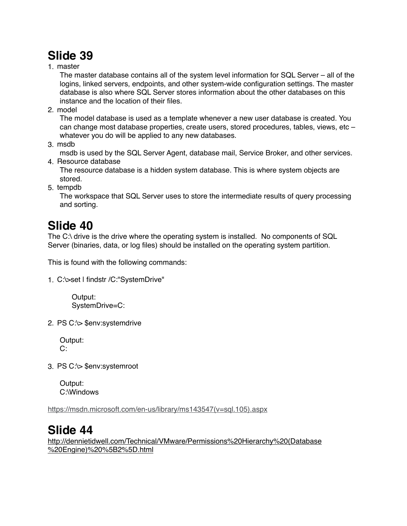1. master

The master database contains all of the system level information for SQL Server – all of the logins, linked servers, endpoints, and other system-wide configuration settings. The master database is also where SQL Server stores information about the other databases on this instance and the location of their files.

2. model

The model database is used as a template whenever a new user database is created. You can change most database properties, create users, stored procedures, tables, views, etc – whatever you do will be applied to any new databases.

3. msdb

msdb is used by the SQL Server Agent, database mail, Service Broker, and other services. 4. Resource database

The resource database is a hidden system database. This is where system objects are stored.

5. tempdb

The workspace that SQL Server uses to store the intermediate results of query processing and sorting.

## **Slide 40**

The C:\ drive is the drive where the operating system is installed. No components of SQL Server (binaries, data, or log files) should be installed on the operating system partition.

This is found with the following commands:

1. C:\>set | findstr /C:"SystemDrive"

Output: SystemDrive=C:

2. PS C:\> \$env:systemdrive

Output:  $C^{\perp}$ 

3. PS C:\> \$env:systemroot

Output: C:\Windows

[https://msdn.microsoft.com/en-us/library/ms143547\(v=sql.105\).aspx](https://msdn.microsoft.com/en-us/library/ms143547(v=sql.105).aspx)

#### **Slide 44**

[http://dennietidwell.com/Technical/VMware/Permissions%20Hierarchy%20\(Database](http://dennietidwell.com/Technical/VMware/Permissions%20Hierarchy%20(Database%20Engine)%20%5B2%5D.html) %20Engine)%20%5B2%5D.html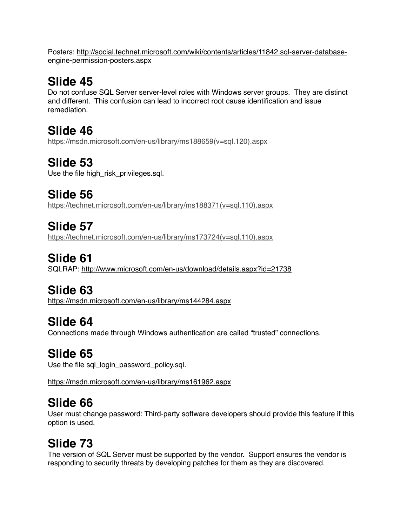[Posters: http://social.technet.microsoft.com/wiki/contents/articles/11842.sql-server-database](http://social.technet.microsoft.com/wiki/contents/articles/11842.sql-server-database-engine-permission-posters.aspx)engine-permission-posters.aspx

# **Slide 45**

Do not confuse SQL Server server-level roles with Windows server groups. They are distinct and different. This confusion can lead to incorrect root cause identification and issue remediation.

**Slide 46** [https://msdn.microsoft.com/en-us/library/ms188659\(v=sql.120\).aspx](https://msdn.microsoft.com/en-us/library/ms188659(v=sql.120).aspx)

# **Slide 53**

Use the file high risk privileges.sgl.

**Slide 56** [https://technet.microsoft.com/en-us/library/ms188371\(v=sql.110\).aspx](https://technet.microsoft.com/en-us/library/ms188371(v=sql.110).aspx)

**Slide 57** [https://technet.microsoft.com/en-us/library/ms173724\(v=sql.110\).aspx](https://technet.microsoft.com/en-us/library/ms173724(v=sql.110).aspx)

**Slide 61** SQLRAP: <http://www.microsoft.com/en-us/download/details.aspx?id=21738>

# **Slide 63**

<https://msdn.microsoft.com/en-us/library/ms144284.aspx>

# **Slide 64**

Connections made through Windows authentication are called "trusted" connections.

# **Slide 65**

Use the file sql\_login\_password\_policy.sql.

<https://msdn.microsoft.com/en-us/library/ms161962.aspx>

# **Slide 66**

User must change password: Third-party software developers should provide this feature if this option is used.

# **Slide 73**

The version of SQL Server must be supported by the vendor. Support ensures the vendor is responding to security threats by developing patches for them as they are discovered.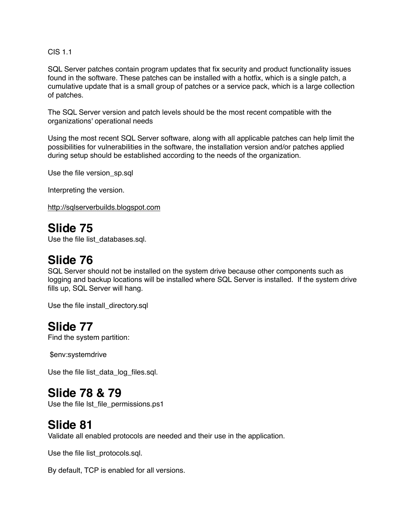CIS 1.1

SQL Server patches contain program updates that fix security and product functionality issues found in the software. These patches can be installed with a hotfix, which is a single patch, a cumulative update that is a small group of patches or a service pack, which is a large collection of patches.

The SQL Server version and patch levels should be the most recent compatible with the organizations' operational needs

Using the most recent SQL Server software, along with all applicable patches can help limit the possibilities for vulnerabilities in the software, the installation version and/or patches applied during setup should be established according to the needs of the organization.

Use the file version\_sp.sql

Interpreting the version.

<http://sqlserverbuilds.blogspot.com>

#### **Slide 75**

Use the file list databases.sql.

#### **Slide 76**

SQL Server should not be installed on the system drive because other components such as logging and backup locations will be installed where SQL Server is installed. If the system drive fills up, SQL Server will hang.

Use the file install\_directory.sql

#### **Slide 77**

Find the system partition:

\$env:systemdrive

Use the file list\_data\_log\_files.sql.

#### **Slide 78 & 79**

Use the file lst\_file\_permissions.ps1

#### **Slide 81**

Validate all enabled protocols are needed and their use in the application.

Use the file list\_protocols.sql.

By default, TCP is enabled for all versions.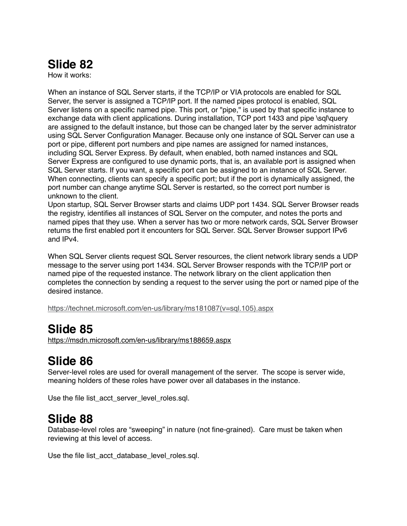How it works:

When an instance of SQL Server starts, if the TCP/IP or VIA protocols are enabled for SQL Server, the server is assigned a TCP/IP port. If the named pipes protocol is enabled, SQL Server listens on a specific named pipe. This port, or "pipe," is used by that specific instance to exchange data with client applications. During installation, TCP port 1433 and pipe \sql\query are assigned to the default instance, but those can be changed later by the server administrator using SQL Server Configuration Manager. Because only one instance of SQL Server can use a port or pipe, different port numbers and pipe names are assigned for named instances, including SQL Server Express. By default, when enabled, both named instances and SQL Server Express are configured to use dynamic ports, that is, an available port is assigned when SQL Server starts. If you want, a specific port can be assigned to an instance of SQL Server. When connecting, clients can specify a specific port; but if the port is dynamically assigned, the port number can change anytime SQL Server is restarted, so the correct port number is unknown to the client.

Upon startup, SQL Server Browser starts and claims UDP port 1434. SQL Server Browser reads the registry, identifies all instances of SQL Server on the computer, and notes the ports and named pipes that they use. When a server has two or more network cards, SQL Server Browser returns the first enabled port it encounters for SQL Server. SQL Server Browser support IPv6 and IPv4.

When SQL Server clients request SQL Server resources, the client network library sends a UDP message to the server using port 1434. SQL Server Browser responds with the TCP/IP port or named pipe of the requested instance. The network library on the client application then completes the connection by sending a request to the server using the port or named pipe of the desired instance.

[https://technet.microsoft.com/en-us/library/ms181087\(v=sql.105\).aspx](https://technet.microsoft.com/en-us/library/ms181087(v=sql.105).aspx)

#### **Slide 85**

<https://msdn.microsoft.com/en-us/library/ms188659.aspx>

# **Slide 86**

Server-level roles are used for overall management of the server. The scope is server wide, meaning holders of these roles have power over all databases in the instance.

Use the file list acct server level roles.sql.

#### **Slide 88**

Database-level roles are "sweeping" in nature (not fine-grained). Care must be taken when reviewing at this level of access.

Use the file list acct database level roles.sql.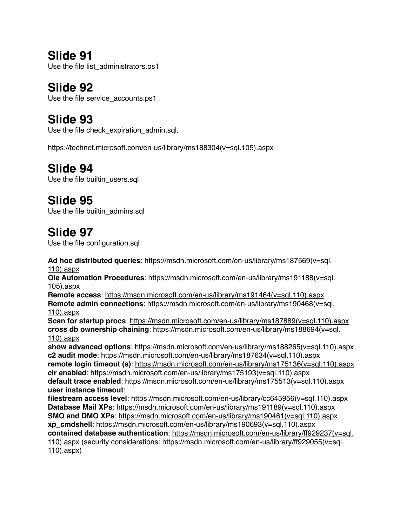**Slide 91** Use the file list\_administrators.ps1

**Slide 92** Use the file service\_accounts.ps1

**Slide 93** Use the file check\_expiration\_admin.sql.

[https://technet.microsoft.com/en-us/library/ms188304\(v=sql.105\).aspx](https://technet.microsoft.com/en-us/library/ms188304(v=sql.105).aspx)

**Slide 94** Use the file builtin\_users.sql

## **Slide 95**

Use the file builtin admins.sql

#### **Slide 97**

Use the file configuration.sql

**Ad hoc distributed queries**[: https://msdn.microsoft.com/en-us/library/ms187569\(v=sql.](https://msdn.microsoft.com/en-us/library/ms187569(v=sql.110).aspx) 110).aspx

**Ole Automation Procedures**[: https://msdn.microsoft.com/en-us/library/ms191188\(v=sql.](https://msdn.microsoft.com/en-us/library/ms191188(v=sql.105).aspx) 105).aspx

**Remote access:** [https://msdn.microsoft.com/en-us/library/ms191464\(v=sql.110\).aspx](https://msdn.microsoft.com/en-us/library/ms191464(v=sql.110).aspx) **Remote admin connections**[: https://msdn.microsoft.com/en-us/library/ms190468\(v=sql.](https://msdn.microsoft.com/en-us/library/ms190468(v=sql.110).aspx) 110).aspx

**Scan for startup procs**: [https://msdn.microsoft.com/en-us/library/ms187889\(v=sql.110\).aspx](https://msdn.microsoft.com/en-us/library/ms187889(v=sql.110).aspx) **cross db ownership chaining**[: https://msdn.microsoft.com/en-us/library/ms188694\(v=sql.](https://msdn.microsoft.com/en-us/library/ms188694(v=sql.110).aspx) 110).aspx

**show advanced options**: [https://msdn.microsoft.com/en-us/library/ms188265\(v=sql.110\).aspx](https://msdn.microsoft.com/en-us/library/ms188265(v=sql.110).aspx) **c2 audit mode**: [https://msdn.microsoft.com/en-us/library/ms187634\(v=sql.110\).aspx](https://msdn.microsoft.com/en-us/library/ms187634(v=sql.110).aspx) **remote login timeout (s)**: [https://msdn.microsoft.com/en-us/library/ms175136\(v=sql.110\).aspx](https://msdn.microsoft.com/en-us/library/ms175136(v=sql.110).aspx) **clr enabled**: [https://msdn.microsoft.com/en-us/library/ms175193\(v=sql.110\).aspx](https://msdn.microsoft.com/en-us/library/ms175193(v=sql.110).aspx) **default trace enabled**: [https://msdn.microsoft.com/en-us/library/ms175513\(v=sql.110\).aspx](https://msdn.microsoft.com/en-us/library/ms175513(v=sql.110).aspx) **user instance timeout**:

**filestream access level**: [https://msdn.microsoft.com/en-us/library/cc645956\(v=sql.110\).aspx](https://msdn.microsoft.com/en-us/library/cc645956(v=sql.110).aspx) **Database Mail XPs**: [https://msdn.microsoft.com/en-us/library/ms191189\(v=sql.110\).aspx](https://msdn.microsoft.com/en-us/library/ms191189(v=sql.110).aspx) **SMO and DMO XPs: [https://msdn.microsoft.com/en-us/library/ms190461\(v=sql.110\).aspx](https://msdn.microsoft.com/en-us/library/ms190461(v=sql.110).aspx) xp\_cmdshell**: [https://msdn.microsoft.com/en-us/library/ms190693\(v=sql.110\).aspx](https://msdn.microsoft.com/en-us/library/ms190693(v=sql.110).aspx) **contained database authentication**: https://msdn.microsoft.com/en-us/library/ff929237(v=sql. [110\).aspx \(security considerations: https://msdn.microsoft.com/en-us/library/ff929055\(v=sql.](https://msdn.microsoft.com/en-us/library/ff929237(v=sql.110).aspx) 110).aspx)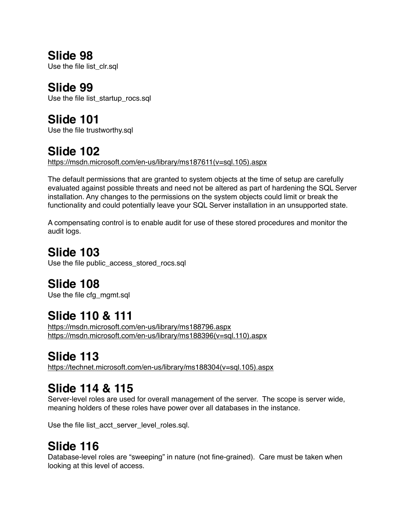Use the file list clr.sql

## **Slide 99**

Use the file list\_startup\_rocs.sql

# **Slide 101**

Use the file trustworthy.sql

# **Slide 102**

[https://msdn.microsoft.com/en-us/library/ms187611\(v=sql.105\).aspx](https://msdn.microsoft.com/en-us/library/ms187611(v=sql.105).aspx)

The default permissions that are granted to system objects at the time of setup are carefully evaluated against possible threats and need not be altered as part of hardening the SQL Server installation. Any changes to the permissions on the system objects could limit or break the functionality and could potentially leave your SQL Server installation in an unsupported state.

A compensating control is to enable audit for use of these stored procedures and monitor the audit logs.

# **Slide 103**

Use the file public access stored rocs.sql

# **Slide 108**

Use the file cfg\_mgmt.sql

# **Slide 110 & 111**

<https://msdn.microsoft.com/en-us/library/ms188796.aspx> [https://msdn.microsoft.com/en-us/library/ms188396\(v=sql.110\).aspx](https://msdn.microsoft.com/en-us/library/ms188396(v=sql.110).aspx)

# **Slide 113**

[https://technet.microsoft.com/en-us/library/ms188304\(v=sql.105\).aspx](https://technet.microsoft.com/en-us/library/ms188304(v=sql.105).aspx)

# **Slide 114 & 115**

Server-level roles are used for overall management of the server. The scope is server wide, meaning holders of these roles have power over all databases in the instance.

Use the file list\_acct\_server\_level\_roles.sql.

# **Slide 116**

Database-level roles are "sweeping" in nature (not fine-grained). Care must be taken when looking at this level of access.